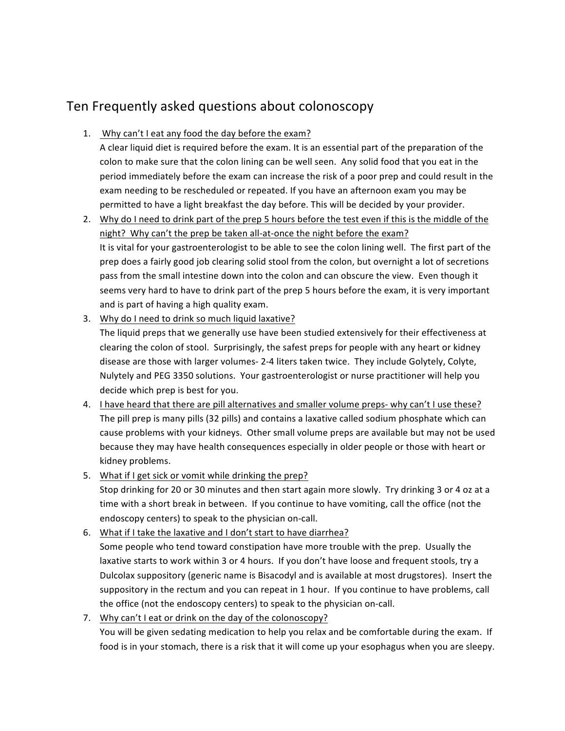## Ten Frequently asked questions about colonoscopy

## 1. Why can't I eat any food the day before the exam?

A clear liquid diet is required before the exam. It is an essential part of the preparation of the colon to make sure that the colon lining can be well seen. Any solid food that you eat in the period immediately before the exam can increase the risk of a poor prep and could result in the exam needing to be rescheduled or repeated. If you have an afternoon exam you may be permitted to have a light breakfast the day before. This will be decided by your provider.

- 2. Why do I need to drink part of the prep 5 hours before the test even if this is the middle of the night? Why can't the prep be taken all-at-once the night before the exam? It is vital for your gastroenterologist to be able to see the colon lining well. The first part of the prep does a fairly good job clearing solid stool from the colon, but overnight a lot of secretions pass from the small intestine down into the colon and can obscure the view. Even though it seems very hard to have to drink part of the prep 5 hours before the exam, it is very important and is part of having a high quality exam.
- 3. Why do I need to drink so much liquid laxative?

The liquid preps that we generally use have been studied extensively for their effectiveness at clearing the colon of stool. Surprisingly, the safest preps for people with any heart or kidney disease are those with larger volumes- 2-4 liters taken twice. They include Golytely, Colyte, Nulytely and PEG 3350 solutions. Your gastroenterologist or nurse practitioner will help you decide which prep is best for you.

- 4. I have heard that there are pill alternatives and smaller volume preps- why can't I use these? The pill prep is many pills (32 pills) and contains a laxative called sodium phosphate which can cause problems with your kidneys. Other small volume preps are available but may not be used because they may have health consequences especially in older people or those with heart or kidney problems.
- 5. What if I get sick or vomit while drinking the prep? Stop drinking for 20 or 30 minutes and then start again more slowly. Try drinking 3 or 4 oz at a time with a short break in between. If you continue to have vomiting, call the office (not the endoscopy centers) to speak to the physician on-call.
- 6. What if I take the laxative and I don't start to have diarrhea? Some people who tend toward constipation have more trouble with the prep. Usually the laxative starts to work within 3 or 4 hours. If you don't have loose and frequent stools, try a Dulcolax suppository (generic name is Bisacodyl and is available at most drugstores). Insert the suppository in the rectum and you can repeat in 1 hour. If you continue to have problems, call the office (not the endoscopy centers) to speak to the physician on-call.
- 7. Why can't I eat or drink on the day of the colonoscopy? You will be given sedating medication to help you relax and be comfortable during the exam. If food is in your stomach, there is a risk that it will come up your esophagus when you are sleepy.